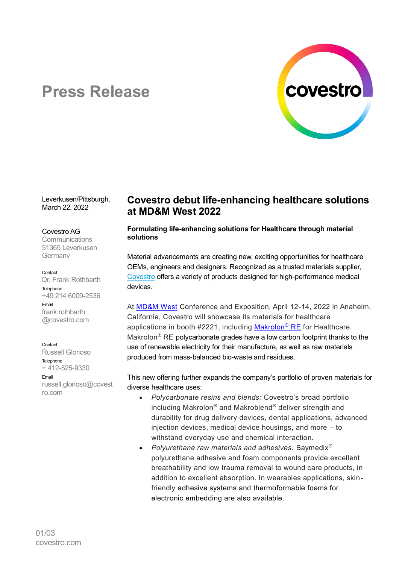

# **Press Release**

Leverkusen/Pittsburgh, March 22, 2022

### Covestro AG

**Communications** 51365 Leverkusen **Germany** 

### **Contact**

Dr. Frank Rothbarth Telephone +49 214 6009-2536 Email frank.rothbarth @covestro.com

### Contact

Russell Glorioso **Telephone** + 412-525-9330 Email [russell.glorioso@covest](mailto:russell.glorioso@covestro.com) [ro.com](mailto:russell.glorioso@covestro.com)

# **Covestro debut life-enhancing healthcare solutions at MD&M West 2022**

### **Formulating life-enhancing solutions for Healthcare through material solutions**

Material advancements are creating new, exciting opportunities for healthcare OEMs, engineers and designers. Recognized as a trusted materials supplier, [Covestro](https://www.covestro.com/) offers a variety of products designed for high-performance medical devices.

At [MD&M West](https://www.mdmwest.com/en/home.html) Conference and Exposition, April 12-14, 2022 in Anaheim, California, Covestro will showcase its materials for healthcare applications in booth #2221, including [Makrolon](https://solutions.covestro.com/en/highlights/articles/stories/2021/transition-to-a-circular-economy)<sup>®</sup> RE for Healthcare. Makrolon<sup>®</sup> RE polycarbonate grades have a low carbon footprint thanks to the use of renewable electricity for their manufacture, as well as raw materials produced from mass-balanced bio-waste and residues.

This new offering further expands the company's portfolio of proven materials for diverse healthcare uses:

- *Polycarbonate resins and blends:* Covestro's broad portfolio including Makrolon® and Makroblend® deliver strength and durability for drug delivery devices, dental applications, advanced injection devices, medical device housings, and more – to withstand everyday use and chemical interaction.
- *Polyurethane raw materials and adhesives:* Baymedix® polyurethane adhesive and foam components provide excellent breathability and low trauma removal to wound care products, in addition to excellent absorption. In wearables applications, skinfriendly adhesive systems and thermoformable foams for electronic embedding are also available.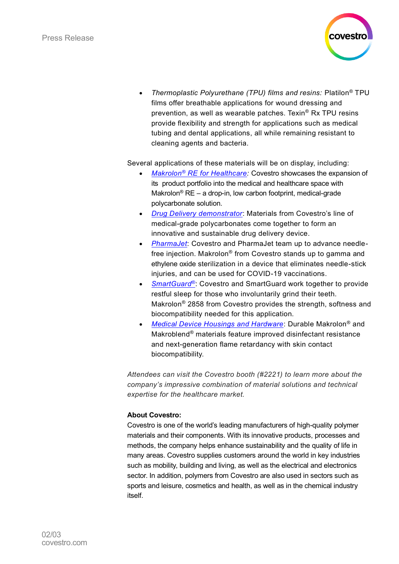

• *Thermoplastic Polyurethane (TPU) films and resins:* Platilon® TPU films offer breathable applications for wound dressing and prevention, as well as wearable patches. Texin® Rx TPU resins provide flexibility and strength for applications such as medical tubing and dental applications, all while remaining resistant to cleaning agents and bacteria.

Several applications of these materials will be on display, including:

- *Makrolon® [RE for Healthcare:](https://solutions.covestro.com/en/highlights/articles/stories/2021/transition-to-a-circular-economy)* Covestro showcases the expansion of its product portfolio into the medical and healthcare space with Makrolon® RE – a drop-in, low carbon footprint, medical-grade polycarbonate solution.
- *[Drug Delivery demonstrator](https://solutions.covestro.com/en/highlights/articles/cases/2021/drug-delivery-demonstrator)*: Materials from Covestro's line of medical-grade polycarbonates come together to form an innovative and sustainable drug delivery device.
- *[PharmaJet](https://solutions.covestro.com/en/highlights/articles/cases/2022/pharmajet)*: Covestro and PharmaJet team up to advance needlefree injection. Makrolon® from Covestro stands up to gamma and ethylene oxide sterilization in a device that eliminates needle-stick injuries, and can be used for COVID-19 vaccinations.
- *[SmartGuard](https://protect-eu.mimecast.com/s/BgXyCPMvNTwLoru18eD-?domain=solutions.covestro.com)®*: Covestro and SmartGuard work together to provide restful sleep for those who involuntarily grind their teeth. Makrolon® 2858 from Covestro provides the strength, softness and biocompatibility needed for this application.
- *[Medical Device Housings and Hardware](https://solutions.covestro.com/en/highlights/articles/stories/2021/improved-chemical-resistance)*: Durable Makrolon® and Makroblend® materials feature improved disinfectant resistance and next-generation flame retardancy with skin contact biocompatibility.

*Attendees can visit the Covestro booth (#2221) to learn more about the company's impressive combination of material solutions and technical expertise for the healthcare market.*

## **About Covestro:**

Covestro is one of the world's leading manufacturers of high-quality polymer materials and their components. With its innovative products, processes and methods, the company helps enhance sustainability and the quality of life in many areas. Covestro supplies customers around the world in key industries such as mobility, building and living, as well as the electrical and electronics sector. In addition, polymers from Covestro are also used in sectors such as sports and leisure, cosmetics and health, as well as in the chemical industry itself.